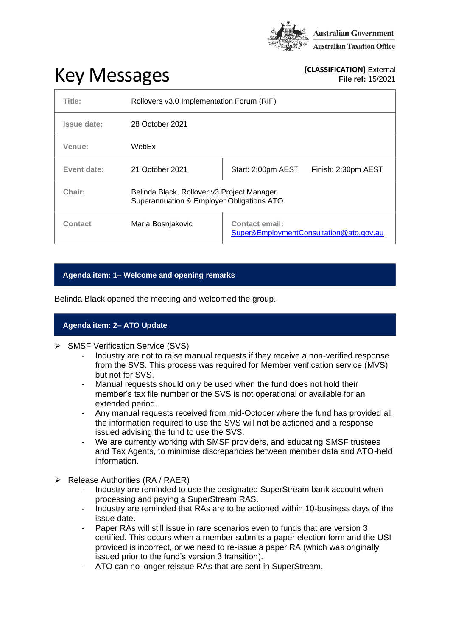

# **Key Messages [CLASSIFICATION]** External **[CLASSIFICATION]** External

**File ref:** 15/2021

| Title:      | Rollovers v3.0 Implementation Forum (RIF)                                               |                                                                  |
|-------------|-----------------------------------------------------------------------------------------|------------------------------------------------------------------|
| Issue date: | 28 October 2021                                                                         |                                                                  |
| Venue:      | WebEx                                                                                   |                                                                  |
| Event date: | 21 October 2021                                                                         | Start: 2:00pm AEST<br>Finish: 2:30pm AEST                        |
| Chair:      | Belinda Black, Rollover v3 Project Manager<br>Superannuation & Employer Obligations ATO |                                                                  |
| Contact     | Maria Bosnjakovic                                                                       | <b>Contact email:</b><br>Super&EmploymentConsultation@ato.gov.au |

## **Agenda item: 1– Welcome and opening remarks**

Belinda Black opened the meeting and welcomed the group.

## **Agenda item: 2– ATO Update**

- ➢ SMSF Verification Service (SVS)
	- Industry are not to raise manual requests if they receive a non-verified response from the SVS. This process was required for Member verification service (MVS) but not for SVS.
	- Manual requests should only be used when the fund does not hold their member's tax file number or the SVS is not operational or available for an extended period.
	- Any manual requests received from mid-October where the fund has provided all the information required to use the SVS will not be actioned and a response issued advising the fund to use the SVS.
	- We are currently working with SMSF providers, and educating SMSF trustees and Tax Agents, to minimise discrepancies between member data and ATO-held information.
- ➢ Release Authorities (RA / RAER)
	- Industry are reminded to use the designated SuperStream bank account when processing and paying a SuperStream RAS.
	- Industry are reminded that RAs are to be actioned within 10-business days of the issue date.
	- Paper RAs will still issue in rare scenarios even to funds that are version 3 certified. This occurs when a member submits a paper election form and the USI provided is incorrect, or we need to re-issue a paper RA (which was originally issued prior to the fund's version 3 transition).
	- ATO can no longer reissue RAs that are sent in SuperStream.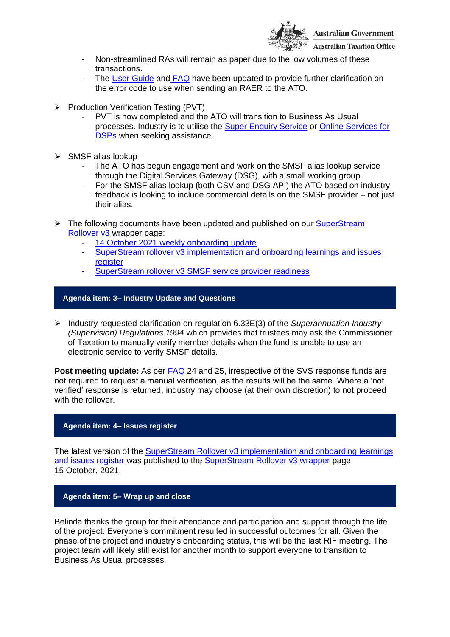

- **Australian Taxation Office**
- Non-streamlined RAs will remain as paper due to the low volumes of these transactions.
- The User [Guide](https://softwaredevelopers.ato.gov.au/sites/default/files/2021-10/Rollover_v3_User_Guide_V4.04_Final.pdf) and [FAQ](https://www.ato.gov.au/uploadedFiles/Content/SPR/downloads/SuperStream_Implementation_and_Onboarding_Information.pdf) have been updated to provide further clarification on the error code to use when sending an RAER to the ATO.
- ➢ Production Verification Testing (PVT)
	- PVT is now completed and the ATO will transition to Business As Usual processes. Industry is to utilise the [Super Enquiry Service](https://www.ato.gov.au/Super/APRA-regulated-funds/In-detail/APRA-resources/Accessing-Super-Enquiry-Service-for-APRA-funds/) or [Online Services for](https://softwaredevelopers.ato.gov.au/OnlineservicesforDSPs)  [DSPs](https://softwaredevelopers.ato.gov.au/OnlineservicesforDSPs) when seeking assistance.
- ➢ SMSF alias lookup
	- The ATO has begun engagement and work on the SMSF alias lookup service through the Digital Services Gateway (DSG), with a small working group.
	- For the SMSF alias lookup (both CSV and DSG API) the ATO based on industry feedback is looking to include commercial details on the SMSF provider – not just their alias.
- ➢ The following documents have been updated and published on our [SuperStream](https://www.ato.gov.au/Super/Sup/SuperStream-Rollover-v3/)  [Rollover v3](https://www.ato.gov.au/Super/Sup/SuperStream-Rollover-v3/) wrapper page:
	- 14 October [2021 weekly onboarding update](https://www.ato.gov.au/uploadedFiles/Content/SPR/downloads/14_October_2021.pdf)
	- [SuperStream rollover v3 implementation and onboarding learnings and issues](https://www.ato.gov.au/uploadedFiles/Content/SPR/downloads/SuperStream_Rollovers_v3_Implementation_and_onboarding_learning_and_issues_register.pdf)  [register](https://www.ato.gov.au/uploadedFiles/Content/SPR/downloads/SuperStream_Rollovers_v3_Implementation_and_onboarding_learning_and_issues_register.pdf)
	- [SuperStream rollover v3 SMSF service provider readiness](https://www.ato.gov.au/uploadedFiles/Content/SPR/downloads/SuperStream_Rollover_v3_SMSF_service_provider_readiness.pdf)

## **Agenda item: 3– Industry Update and Questions**

➢ Industry requested clarification on regulation 6.33E(3) of the *Superannuation Industry (Supervision) Regulations 1994* which provides that trustees may ask the Commissioner of Taxation to manually verify member details when the fund is unable to use an electronic service to verify SMSF details.

**Post meeting update:** As per [FAQ](https://www.ato.gov.au/uploadedFiles/Content/SPR/downloads/SuperStream_Implementation_and_Onboarding_Information.pdf) 24 and 25, irrespective of the SVS response funds are not required to request a manual verification, as the results will be the same. Where a 'not verified' response is returned, industry may choose (at their own discretion) to not proceed with the rollover.

#### **Agenda item: 4– Issues register**

The latest version of the [SuperStream Rollover v3 implementation and onboarding learnings](https://www.ato.gov.au/uploadedFiles/Content/SPR/downloads/SuperStream_Rollovers_v3_Implementation_and_onboarding_learning_and_issues_register.pdf)  [and issues register](https://www.ato.gov.au/uploadedFiles/Content/SPR/downloads/SuperStream_Rollovers_v3_Implementation_and_onboarding_learning_and_issues_register.pdf) was published to the [SuperStream Rollover v3 wrapper](https://www.ato.gov.au/Super/Sup/SuperStream-Rollover-v3/) page 15 October, 2021.

#### **Agenda item: 5– Wrap up and close**

Belinda thanks the group for their attendance and participation and support through the life of the project. Everyone's commitment resulted in successful outcomes for all. Given the phase of the project and industry's onboarding status, this will be the last RIF meeting. The project team will likely still exist for another month to support everyone to transition to Business As Usual processes.